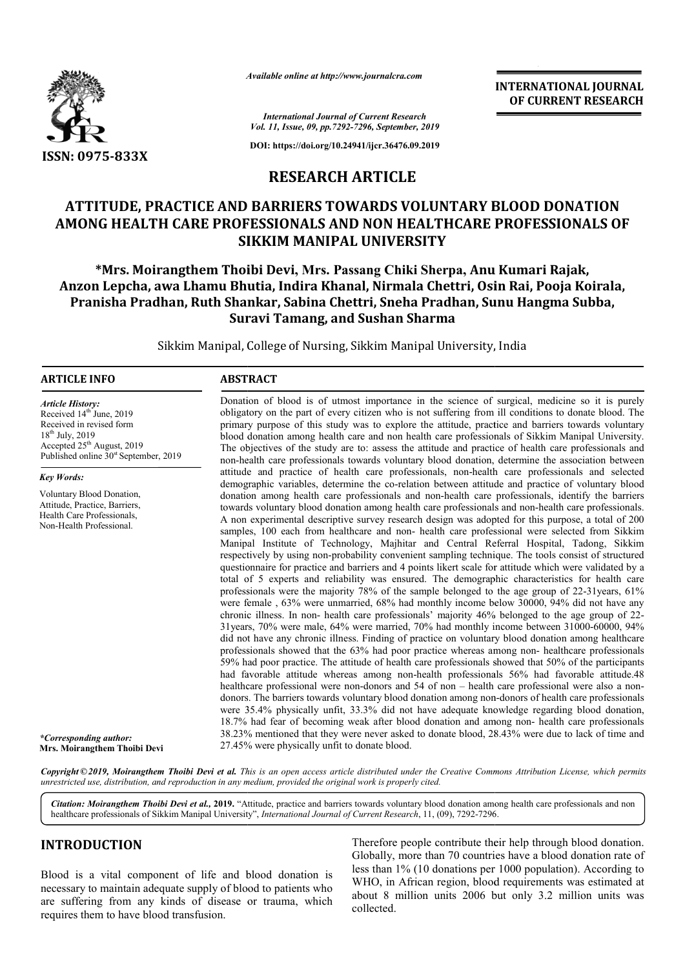

*Available online at http://www.journalcra.com*

**INTERNATIONAL JOURNAL OF CURRENT RESEARCH**

*International Journal of Current Research Vol. 11, Issue, 09, pp.7292-7296, September, 2019*

**DOI: https://doi.org/10.24941/ijcr.36476.09.2019**

## **RESEARCH ARTICLE**

# ATTITUDE, PRACTICE AND BARRIERS TOWARDS VOLUNTARY BLOOD DONATION<br>AMONG HEALTH CARE PROFESSIONALS AND NON HEALTHCARE PROFESSIONALS OF **AMONG HEALTH CARE PROFESSIONALS AND NON HEALTHCARE PROFESSIONALS OF SIKKIM MANIPAL UNIVERSITY**

**\*Mrs. Moirangthem Thoibi Devi Mrs. , Mrs. Passang Chiki Sherpa, Anu Kumari Rajak, Anzon Lepcha, awa Lhamu Bhutia, Indira Khanal, Nirmala Chettri, Osin Rai, Pooja Koirala, Pranisha Pradhan, Ruth Shankar, Sabina Chettri, Sneha Pradhan, Sunu Hangma Subba, Suravi Tamang, and Sushan Sharma** Anu Kumari Rajak,<br><sub>İ</sub>, Osin Rai, Pooja Koirala<br>n, Sunu Hangma Subba,

Sikkim Manipal, College of Nursing, Sikkim Manipal University, India ,

### **ARTICLE INFO ABSTRACT**

Accepted 25<sup>th</sup> August, 2019 Published online  $30<sup>st</sup>$  September, 2019

Voluntary Blood Donation, Attitude, Practice, Barriers, Health Care Professionals, Non-Health Professional.

*Article History:* Received 14<sup>th</sup> June, 2019 Received in revised form 18<sup>th</sup> July, 2019

*Key Words:*

Donation of blood is of utmost importance in the science of surgical, medicine so it is purely obligatory on the part of every citizen who is not suffering from ill conditions to donate blood. The primary purpose of this study was to explore the attitude, practice and barriers towards voluntary blood donation among health care and non health care professionals of Sikkim Manipal University. The objectives of the study are to: assess the attitude and practice of health care professionals and non-health care professionals towards voluntary blood donation, determine the association between attitude and practice of health care professionals, non-health care professionals and selected demographic variables, determine the co-relation between attitude and practice o donation among health care professionals and non-health care professionals, identify the barriers donation among health care professionals and non-health care professionals, identify the barriers towards voluntary blood donation among health care professionals and non-health care professionals. A non experimental descriptive survey research design was adopted for this purpose, a total of 200 samples, 100 each from healthcare and non- health care professional were selected from Sikkim Manipal Institute of Technology, Majhitar and Central Referral Hospital, Tadong, Sikkim respectively by using non-probability convenient sampling technique. The tools consist of structured questionnaire for practice and barriers and 4 points likert scale for attitude which were validated by a total of 5 experts and reliability was ensured. The demographic characteristics for health care professionals were the majority  $78\%$  of the sample belonged to the age group of  $22-31$ years,  $61\%$ were female , 63% were unmarried, 68% had monthly income below 30000, 94% did not have any were female, 63% were unmarried, 68% had monthly income below 30000, 94% did not have any chronic illness. In non- health care professionals' majority 46% belonged to the age group of 22-31years, 70% were male, 64% were married, 70% had monthly income between 31000-60000, 94% did not have any chronic illness. Finding of practice on voluntary blood donation among healthcare did not have any chronic illness. Finding of practice on voluntary blood donation among healthcare professionals showed that the 63% had poor practice whereas among non- healthcare professionals 59% had poor practice. The attitude of health care professionals showed that 50% of the participants 59% had poor practice. The attitude of health care professionals showed that 50% of the participants had favorable attitude whereas among non-health professionals 56% had favorable attitude.48 healthcare professional were non-donors and 54 of non – health care professional were also a nondonors. The barriers towards voluntary blood donation among non-donors of health care professionals were 35.4% physically unfit, 33.3% did not have adequate knowledge regarding blood donation, were 35.4% physically unfit, 33.3% did not have adequate knowledge regarding blood donation, 18.7% had fear of becoming weak after blood donation and among non- health care professionals  $38.23\%$  mentioned that they were never asked to donate blood,  $28.43\%$  were due to lack of time and 27.45% were physically unfit to donate blood. Donation of blood is of utmost importance in the science of surgical, medicine so it is purely obligatory on the part of every citizen who is not suffering from ill conditions to donate blood. The primary purpose of this s A non experimental descriptive survey research design was adopted for this purpose, a total of 200 samples, 100 each from healthcare and non- health care professional were selected from Sikkim Manipal Institute of Technolo **EXERVATIONAL JOURNAL FORMAL FORMAL FORMAL FORMAL FORMAL FORMAL FORMAL CONVERT (CONVERT) AND A Superconverte and the state of the state of the state of the state of the state of the state of the state of the state of the** 

Copyright © 2019, Moirangthem Thoibi Devi et al. This is an open access article distributed under the Creative Commons Attribution License, which permits *unrestricted use, distribution, and reproduction in any medium, provided the original work is properly cited.*

*Citation: Moirangthem Thoibi Devi et al.,* **2019.** "Attitude, practice and barriers towards voluntary blood donation among health care professionals and non Citation: Moirangthem Thoibi Devi et al., 2019. "Attitude, practice and barriers towards voluntary blood donation amo<br>healthcare professionals of Sikkim Manipal University", *International Journal of Current Research*, 11,

### **INTRODUCTION**

*\*Corresponding author:*  **Mrs. Moirangthem Thoibi Devi**

Blood is a vital component of life and blood donation is necessary to maintain adequate supply of blood to patients who are suffering from any kinds of disease or trauma, which requires them to have blood transfusion.

Therefore people contribute their help through blood donation. Globally, more than 70 countries have a blood donation rate of less than 1% (10 donations per 1000 population). According to WHO, in African region, blood requirements was estimated at about 8 million units 2006 but only 3.2 million units was collected.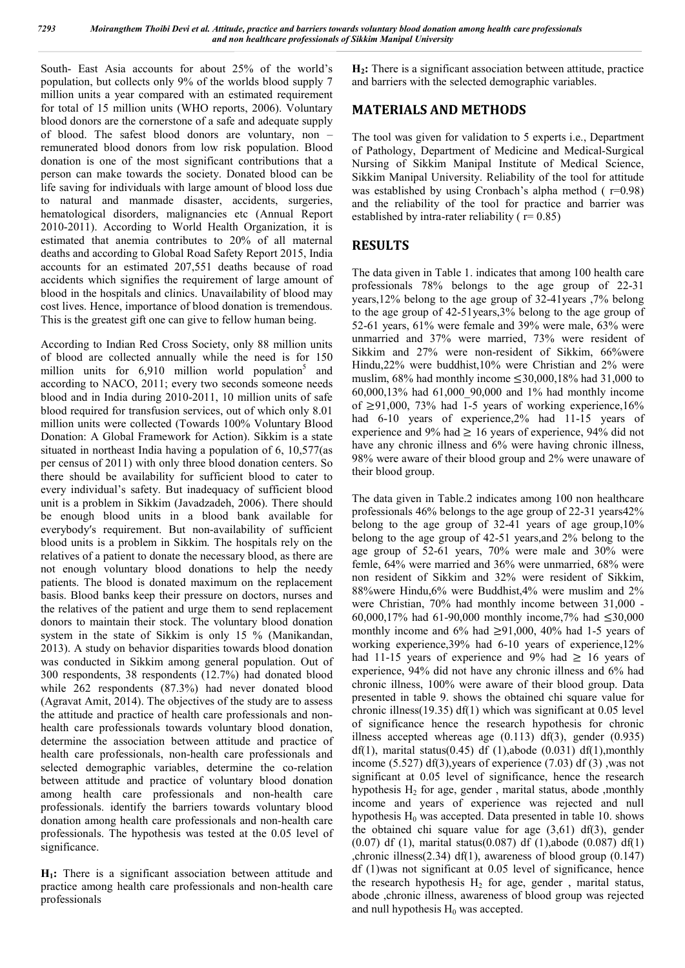South- East Asia accounts for about 25% of the world's population, but collects only 9% of the worlds blood supply 7 million units a year compared with an estimated requirement for total of 15 million units (WHO reports, 2006). Voluntary blood donors are the cornerstone of a safe and adequate supply of blood. The safest blood donors are voluntary, non – remunerated blood donors from low risk population. Blood donation is one of the most significant contributions that a person can make towards the society. Donated blood can be life saving for individuals with large amount of blood loss due to natural and manmade disaster, accidents, surgeries, hematological disorders, malignancies etc (Annual Report 2010-2011). According to World Health Organization, it is estimated that anemia contributes to 20% of all maternal deaths and according to Global Road Safety Report 2015, India accounts for an estimated 207,551 deaths because of road accidents which signifies the requirement of large amount of blood in the hospitals and clinics. Unavailability of blood may cost lives. Hence, importance of blood donation is tremendous. This is the greatest gift one can give to fellow human being.

According to Indian Red Cross Society, only 88 million units of blood are collected annually while the need is for 150 million units for  $6,910$  million world population<sup>5</sup> and according to NACO, 2011; every two seconds someone needs blood and in India during 2010-2011, 10 million units of safe blood required for transfusion services, out of which only 8.01 million units were collected (Towards 100% Voluntary Blood Donation: A Global Framework for Action). Sikkim is a state situated in northeast India having a population of 6, 10,577(as per census of 2011) with only three blood donation centers. So there should be availability for sufficient blood to cater to every individual's safety. But inadequacy of sufficient blood unit is a problem in Sikkim (Javadzadeh, 2006). There should be enough blood units in a blood bank available for everybody′s requirement. But non-availability of sufficient blood units is a problem in Sikkim. The hospitals rely on the relatives of a patient to donate the necessary blood, as there are not enough voluntary blood donations to help the needy patients. The blood is donated maximum on the replacement basis. Blood banks keep their pressure on doctors, nurses and the relatives of the patient and urge them to send replacement donors to maintain their stock. The voluntary blood donation system in the state of Sikkim is only 15 % (Manikandan, 2013). A study on behavior disparities towards blood donation was conducted in Sikkim among general population. Out of 300 respondents, 38 respondents (12.7%) had donated blood while 262 respondents (87.3%) had never donated blood (Agravat Amit, 2014). The objectives of the study are to assess the attitude and practice of health care professionals and nonhealth care professionals towards voluntary blood donation, determine the association between attitude and practice of health care professionals, non-health care professionals and selected demographic variables, determine the co-relation between attitude and practice of voluntary blood donation among health care professionals and non-health care professionals. identify the barriers towards voluntary blood donation among health care professionals and non-health care professionals. The hypothesis was tested at the 0.05 level of significance.

**H1:** There is a significant association between attitude and practice among health care professionals and non-health care professionals

**H2:** There is a significant association between attitude, practice and barriers with the selected demographic variables.

## **MATERIALS AND METHODS**

The tool was given for validation to 5 experts i.e., Department of Pathology, Department of Medicine and Medical-Surgical Nursing of Sikkim Manipal Institute of Medical Science, Sikkim Manipal University. Reliability of the tool for attitude was established by using Cronbach's alpha method  $( r=0.98)$ and the reliability of the tool for practice and barrier was established by intra-rater reliability ( $r=0.85$ )

## **RESULTS**

The data given in Table 1. indicates that among 100 health care professionals 78% belongs to the age group of 22-31 years,12% belong to the age group of 32-41years ,7% belong to the age group of 42-51years,3% belong to the age group of 52-61 years, 61% were female and 39% were male, 63% were unmarried and 37% were married, 73% were resident of Sikkim and 27% were non-resident of Sikkim, 66%were Hindu,22% were buddhist,10% were Christian and 2% were muslim,  $68\%$  had monthly income  $\leq 30,000,18\%$  had 31,000 to 60,000,13% had 61,000\_90,000 and 1% had monthly income of  $\geq$ 91,000, 73% had 1-5 years of working experience,16% had 6-10 years of experience, 2% had 11-15 years of experience and 9% had  $\geq 16$  years of experience, 94% did not have any chronic illness and 6% were having chronic illness, 98% were aware of their blood group and 2% were unaware of their blood group.

The data given in Table.2 indicates among 100 non healthcare professionals 46% belongs to the age group of 22-31 years42% belong to the age group of 32-41 years of age group,10% belong to the age group of 42-51 years,and 2% belong to the age group of 52-61 years, 70% were male and 30% were femle, 64% were married and 36% were unmarried, 68% were non resident of Sikkim and 32% were resident of Sikkim, 88%were Hindu,6% were Buddhist,4% were muslim and 2% were Christian, 70% had monthly income between 31,000 - 60,000,17% had 61-90,000 monthly income,7% had ≤30,000 monthly income and 6% had  $\geq 91,000$ , 40% had 1-5 years of working experience,39% had 6-10 years of experience,12% had 11-15 years of experience and 9% had  $\geq$  16 years of experience, 94% did not have any chronic illness and 6% had chronic illness, 100% were aware of their blood group. Data presented in table 9. shows the obtained chi square value for chronic illness(19.35) df(1) which was significant at 0.05 level of significance hence the research hypothesis for chronic illness accepted whereas age  $(0.113)$  df $(3)$ , gender  $(0.935)$ df(1), marital status(0.45) df (1), abode (0.031) df(1), monthly income (5.527) df(3),years of experience (7.03) df (3) ,was not significant at  $0.05$  level of significance, hence the research hypothesis  $H<sub>2</sub>$  for age, gender, marital status, abode, monthly income and years of experience was rejected and null hypothesis  $H_0$  was accepted. Data presented in table 10. shows the obtained chi square value for age (3,61) df(3), gender (0.07) df (1), marital status(0.087) df (1),abode (0.087) df(1) ,chronic illness(2.34) df(1), awareness of blood group (0.147) df (1)was not significant at 0.05 level of significance, hence the research hypothesis  $H_2$  for age, gender, marital status, abode ,chronic illness, awareness of blood group was rejected and null hypothesis  $H_0$  was accepted.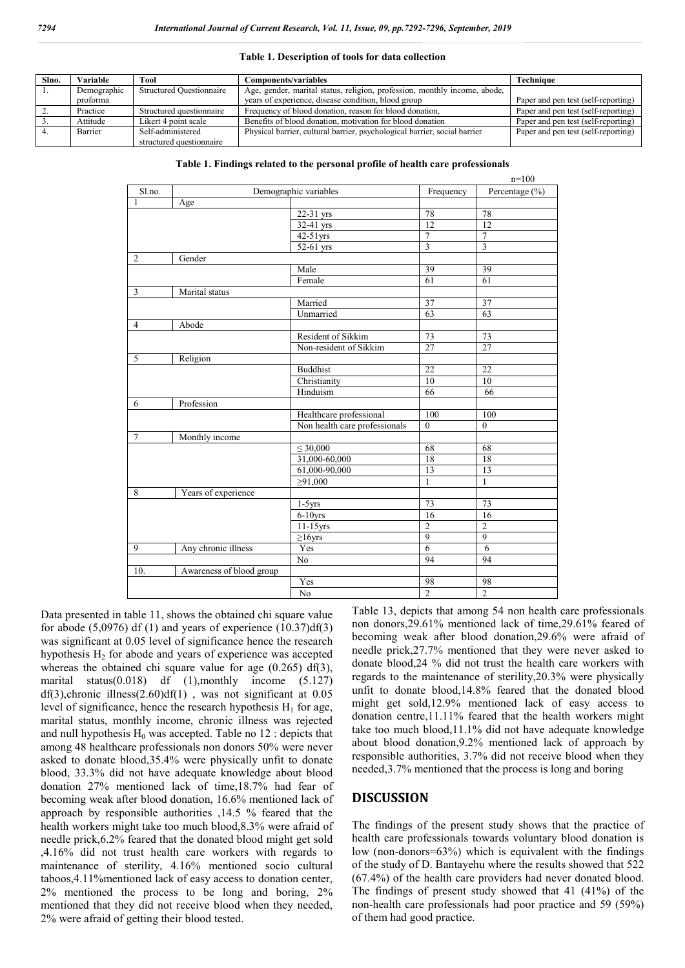#### **Table 1. Description of tools for data collection**

| Slno. | Variable    | Tool                            | <b>Components/variables</b>                                               | <b>Technique</b>                    |
|-------|-------------|---------------------------------|---------------------------------------------------------------------------|-------------------------------------|
|       | Demographic | <b>Structured Questionnaire</b> | Age, gender, marital status, religion, profession, monthly income, abode, |                                     |
|       | proforma    |                                 | years of experience, disease condition, blood group                       | Paper and pen test (self-reporting) |
|       | Practice    | Structured questionnaire        | Frequency of blood donation, reason for blood donation,                   | Paper and pen test (self-reporting) |
|       | Attitude    | Likert 4 point scale            | Benefits of blood donation, motivation for blood donation                 | Paper and pen test (self-reporting) |
|       | Barrier     | Self-administered               | Physical barrier, cultural barrier, psychological barrier, social barrier | Paper and pen test (self-reporting) |
|       |             | structured questionnaire        |                                                                           |                                     |

|  |  |  |  | Table 1. Findings related to the personal profile of health care professionals |  |
|--|--|--|--|--------------------------------------------------------------------------------|--|
|  |  |  |  |                                                                                |  |

|                |                          |                               |                 | $n=100$         |
|----------------|--------------------------|-------------------------------|-----------------|-----------------|
| Sl.no.         |                          | Demographic variables         | Frequency       | Percentage (%)  |
| 1              | Age                      |                               |                 |                 |
|                |                          | 22-31 yrs                     | 78              | 78              |
|                |                          | 32-41 yrs                     | $\overline{12}$ | $\overline{12}$ |
|                |                          | $42-51$ yrs                   | $\overline{7}$  | $\overline{7}$  |
|                |                          | 52-61 yrs                     | $\overline{3}$  | $\overline{3}$  |
| 2              | Gender                   |                               |                 |                 |
|                |                          | Male                          | 39              | 39              |
|                |                          | Female                        | 61              | 61              |
| 3              | Marital status           |                               |                 |                 |
|                |                          | Married                       | $\overline{37}$ | $\overline{37}$ |
|                |                          | Unmarried                     | 63              | 63              |
| $\overline{4}$ | Abode                    |                               |                 |                 |
|                |                          | Resident of Sikkim            | 73              | 73              |
|                |                          | Non-resident of Sikkim        | $\overline{27}$ | $\overline{27}$ |
| 5              | Religion                 |                               |                 |                 |
|                |                          | <b>Buddhist</b>               | $\overline{22}$ | 22              |
|                |                          | Christianity                  | 10              | 10              |
|                |                          | Hinduism                      | 66              | 66              |
| 6              | Profession               |                               |                 |                 |
|                |                          | Healthcare professional       | 100             | 100             |
|                |                          | Non health care professionals | $\theta$        | $\overline{0}$  |
| $\tau$         | Monthly income           |                               |                 |                 |
|                |                          | $\leq 30,000$                 | $\overline{68}$ | 68              |
|                |                          | 31,000-60,000                 | 18              | 18              |
|                |                          | 61,000-90,000                 | $\overline{13}$ | 13              |
|                |                          | $\geq 91,000$                 | $\mathbf{1}$    | $\mathbf{1}$    |
| 8              | Years of experience      |                               |                 |                 |
|                |                          | $1-5yrs$                      | 73              | 73              |
|                |                          | $6-10$ yrs                    | 16              | 16              |
|                |                          | $11-15$ yrs                   | $\overline{2}$  | $\overline{2}$  |
|                |                          | $\geq 16$ yrs                 | $\overline{9}$  | $\overline{9}$  |
| 9              | Any chronic illness      | Yes                           | 6               | 6               |
|                |                          | $\overline{No}$               | 94              | 94              |
| 10.            | Awareness of blood group |                               |                 |                 |
|                |                          | Yes                           | 98              | 98              |
|                |                          |                               |                 |                 |

Data presented in table 11, shows the obtained chi square value for abode  $(5,0976)$  df  $(1)$  and years of experience  $(10.37)df(3)$ was significant at 0.05 level of significance hence the research hypothesis  $H<sub>2</sub>$  for abode and years of experience was accepted whereas the obtained chi square value for age (0.265) df(3), marital status(0.018) df (1),monthly income (5.127)  $df(3)$ , chronic illness $(2.60)df(1)$ , was not significant at 0.05 level of significance, hence the research hypothesis  $H_1$  for age, marital status, monthly income, chronic illness was rejected and null hypothesis  $H_0$  was accepted. Table no 12 : depicts that among 48 healthcare professionals non donors 50% were never asked to donate blood,35.4% were physically unfit to donate blood, 33.3% did not have adequate knowledge about blood donation 27% mentioned lack of time,18.7% had fear of becoming weak after blood donation, 16.6% mentioned lack of approach by responsible authorities ,14.5 % feared that the health workers might take too much blood,8.3% were afraid of needle prick,6.2% feared that the donated blood might get sold ,4.16% did not trust health care workers with regards to maintenance of sterility, 4.16% mentioned socio cultural taboos,4.11%mentioned lack of easy access to donation center, 2% mentioned the process to be long and boring, 2% mentioned that they did not receive blood when they needed, 2% were afraid of getting their blood tested.

Table 13, depicts that among 54 non health care professionals non donors,29.61% mentioned lack of time,29.61% feared of becoming weak after blood donation,29.6% were afraid of needle prick,27.7% mentioned that they were never asked to donate blood,24 % did not trust the health care workers with regards to the maintenance of sterility,20.3% were physically unfit to donate blood,14.8% feared that the donated blood might get sold,12.9% mentioned lack of easy access to donation centre,11.11% feared that the health workers might take too much blood,11.1% did not have adequate knowledge about blood donation,9.2% mentioned lack of approach by responsible authorities, 3.7% did not receive blood when they needed,3.7% mentioned that the process is long and boring

### **DISCUSSION**

The findings of the present study shows that the practice of health care professionals towards voluntary blood donation is low (non-donors=63%) which is equivalent with the findings of the study of D. Bantayehu where the results showed that 522 (67.4%) of the health care providers had never donated blood. The findings of present study showed that 41 (41%) of the non-health care professionals had poor practice and 59 (59%) of them had good practice.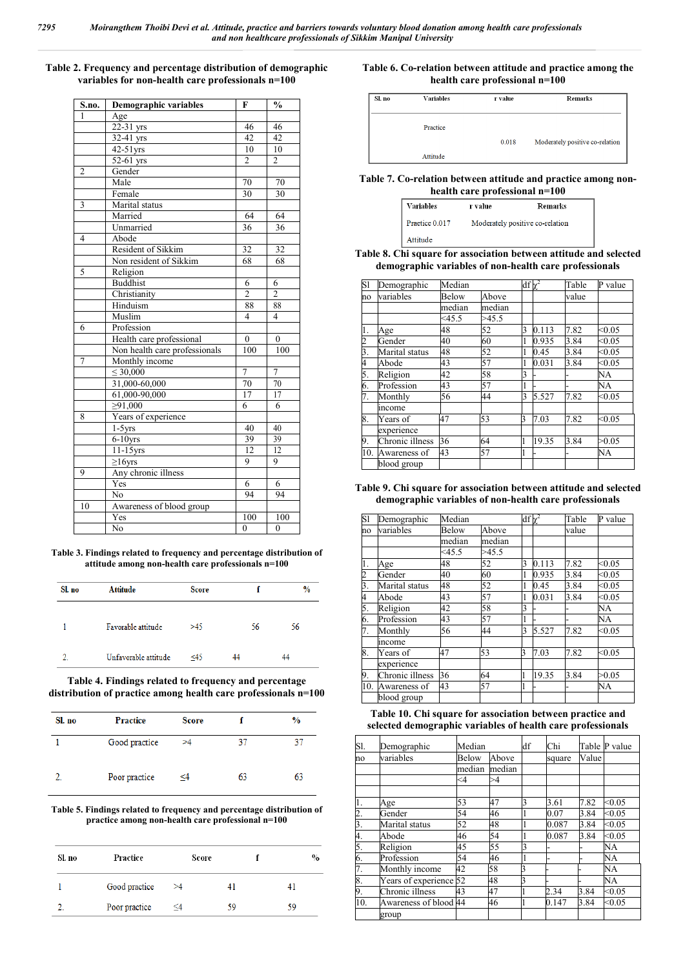#### **Table 2. Frequency and percentage distribution of demographic variables for non-health care professionals n=100**

| S.no.          | Demographic variables         | F                       | $\frac{0}{0}$  |
|----------------|-------------------------------|-------------------------|----------------|
| 1              | Age                           |                         |                |
|                | 22-31 yrs                     | 46                      | 46             |
|                | $32-41$ yrs                   | 42                      | 42             |
|                | $42-51$ yrs                   | 10                      | 10             |
|                | 52-61 yrs                     | $\overline{2}$          | $\overline{2}$ |
| $\overline{c}$ | Gender                        |                         |                |
|                | Male                          | 70                      | 70             |
|                | Female                        | $\overline{30}$         | 30             |
| 3              | Marital status                |                         |                |
|                | Married                       | 64                      | 64             |
|                | Unmarried                     | 36                      | 36             |
| 4              | Abode                         |                         |                |
|                | Resident of Sikkim            | 32                      | 32             |
|                | Non resident of Sikkim        | 68                      | 68             |
| 5              | Religion                      |                         |                |
|                | <b>Buddhist</b>               | 6                       | 6              |
|                | Christianity                  | $\overline{2}$          | $\overline{2}$ |
|                | Hinduism                      | 88                      | 88             |
|                | Muslim                        | $\overline{\mathbf{4}}$ | $\overline{4}$ |
| 6              | Profession                    |                         |                |
|                | Health care professional      | $\theta$                | $\theta$       |
|                | Non health care professionals | 100                     | 100            |
| $\overline{7}$ | Monthly income                |                         |                |
|                | $\leq 30,000$                 | 7                       | 7              |
|                | 31,000-60,000                 | 70                      | 70             |
|                | 61,000-90,000                 | 17                      | 17             |
|                | $\geq 91,000$                 | 6                       | 6              |
| 8              | Years of experience           |                         |                |
|                | $1-5$ yrs                     | 40                      | 40             |
|                | $6-10$ yrs                    | 39                      | 39             |
|                | $11-15$ yrs                   | 12                      | 12             |
|                | $\geq$ 16yrs                  | 9                       | 9              |
| 9              | Any chronic illness           |                         |                |
|                | Yes                           | 6                       | 6              |
|                | N <sub>0</sub>                | 94                      | 94             |
| 10             | Awareness of blood group      |                         |                |
|                | Yes                           | 100                     | 100            |
|                | N <sub>0</sub>                | $\theta$                | $\overline{0}$ |

**Table 3. Findings related to frequency and percentage distribution of attitude among non-health care professionals n=100**

| Sl. no           | <b>Attitude</b>      | <b>Score</b> |    | $\frac{0}{0}$ |
|------------------|----------------------|--------------|----|---------------|
|                  | Favorable attitude   | >45          | 56 | 56            |
| $\overline{2}$ . | Unfavorable attitude | ≤45          | 44 | 44            |
|                  |                      |              |    |               |

**Table 4. Findings related to frequency and percentage distribution of practice among health care professionals n=100**

| Sl. no | <b>Practice</b> | <b>Score</b> |    | $\frac{9}{6}$ |
|--------|-----------------|--------------|----|---------------|
|        | Good practice   | >4           | 37 |               |
| ŋ.     | Poor practice   | ≤4           | 63 | 63            |

**Table 5. Findings related to frequency and percentage distribution of practice among non-health care professional n=100**

| Sl. no | Practice      | Score    |    |    | $\%$ |
|--------|---------------|----------|----|----|------|
|        | Good practice | >4       |    |    |      |
|        | Poor practice | $\leq$ 4 | 59 | 59 |      |

#### **Table 6. Co-relation between attitude and practice among the health care professional n=100**

| Sl. no | <b>Variables</b> | r value | <b>Remarks</b>                  |
|--------|------------------|---------|---------------------------------|
|        | Practice         |         |                                 |
|        |                  | 0.018   | Moderately positive co-relation |
|        | Attitude         |         |                                 |

#### **Table 7. Co-relation between attitude and practice among nonhealth care professional n=100**

| <b>Variables</b> | r value | <b>Remarks</b>                  |
|------------------|---------|---------------------------------|
| Praetice 0.017   |         | Moderately positive co-relation |
| Attitude         |         |                                 |

#### **Table 8. Chi square for association between attitude and selected demographic variables of non-health care professionals**

| Sl  | Demographic     | Median   |        |   | $df\chi^2$ | Table | P value |
|-----|-----------------|----------|--------|---|------------|-------|---------|
| no  | variables       | Below    | Above  |   |            | value |         |
|     |                 | median   | median |   |            |       |         |
|     |                 | $<$ 45.5 | >45.5  |   |            |       |         |
| 1.  | Age             | 48       | 52     | 3 | 0.113      | 7.82  | < 0.05  |
| 2   | Gender          | 40       | 60     | 1 | 0.935      | 3.84  | < 0.05  |
| 3.  | Marital status  | 48       | 52     | 1 | 0.45       | 3.84  | < 0.05  |
| 4   | Abode           | 43       | 57     | 1 | 0.031      | 3.84  | < 0.05  |
| 5.  | Religion        | 42       | 58     | 3 |            |       | NA      |
| 6.  | Profession      | 43       | 57     | l |            |       | NA      |
| 7.  | Monthly         | 56       | 44     | 3 | 5.527      | 7.82  | < 0.05  |
|     | income          |          |        |   |            |       |         |
| 8.  | Years of        | 47       | 53     | 3 | 7.03       | 7.82  | < 0.05  |
|     | experience      |          |        |   |            |       |         |
| 9.  | Chronic illness | 36       | 64     | 1 | 19.35      | 3.84  | >0.05   |
| 10. | Awareness of    | 43       | 57     | 1 |            |       | NA      |
|     | blood group     |          |        |   |            |       |         |

#### **Table 9. Chi square for association between attitude and selected demographic variables of non-health care professionals**

| Sl             | Demographic     | Median   |        | df v |       | Table | P value |
|----------------|-----------------|----------|--------|------|-------|-------|---------|
| no             | variables       | Below    | Above  |      |       | value |         |
|                |                 | median   | median |      |       |       |         |
|                |                 | $<$ 45.5 | >45.5  |      |       |       |         |
| 1.             | Age             | 48       | 52     | 3    | 0.113 | 7.82  | < 0.05  |
| $\overline{c}$ | Gender          | 40       | 60     | 1    | 0.935 | 3.84  | < 0.05  |
| 3.             | Marital status  | 48       | 52     |      | 0.45  | 3.84  | < 0.05  |
| 4              | Abode           | 43       | 57     | 1    | 0.031 | 3.84  | < 0.05  |
| 5.             | Religion        | 42       | 58     | 3    |       |       | NA      |
| 6.             | Profession      | 43       | 57     | 1    |       |       | NA      |
| 7.             | Monthly         | 56       | 44     | 3    | 5.527 | 7.82  | < 0.05  |
|                | income          |          |        |      |       |       |         |
| 8.             | Years of        | 47       | 53     | 3    | 7.03  | 7.82  | < 0.05  |
|                | experience      |          |        |      |       |       |         |
| 9.             | Chronic illness | 36       | 64     | 1    | 19.35 | 3.84  | >0.05   |
| 10.            | Awareness of    | 43       | 57     | 1    |       |       | NA      |
|                | blood group     |          |        |      |       |       |         |

#### **Table 10. Chi square for association between practice and selected demographic variables of health care professionals**

| Sl. | Demographic            | Median   |        | df | Chi    |       | Table P value |
|-----|------------------------|----------|--------|----|--------|-------|---------------|
| no  | variables              | Below    | Above  |    | square | Value |               |
|     |                        | median   | median |    |        |       |               |
|     |                        | $\leq$ 4 | >4     |    |        |       |               |
|     |                        |          |        |    |        |       |               |
| 1.  | Age                    | 53       | 47     | 13 | 3.61   | 7.82  | < 0.05        |
| 2.  | Gender                 | 54       | 46     |    | 0.07   | 3.84  | < 0.05        |
| 3.  | Marital status         | 52       | 48     |    | 0.087  | 3.84  | < 0.05        |
| 4.  | Abode                  | 46       | 54     |    | 0.087  | 3.84  | < 0.05        |
| 5.  | Religion               | 45       | 55     | 3  |        |       | NA            |
| 6.  | Profession             | 54       | 46     |    |        |       | NA            |
| 7.  | Monthly income         | 42       | 58     | 3  |        |       | NA            |
| 8.  | Years of experience 52 |          | 48     | 3  |        |       | NA            |
| 9.  | Chronic illness        | 43       | 47     |    | 2.34   | 3.84  | < 0.05        |
| 10. | Awareness of blood 44  |          | 46     | 1  | 0.147  | 3.84  | < 0.05        |
|     | group                  |          |        |    |        |       |               |